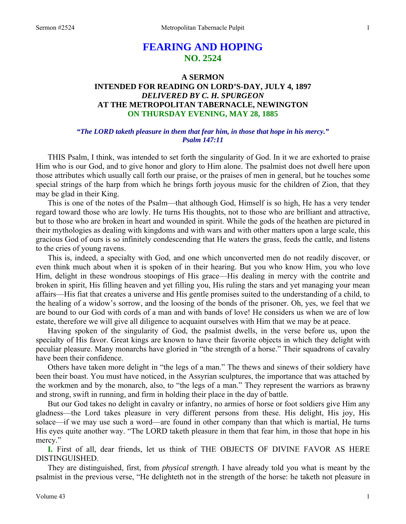# **FEARING AND HOPING NO. 2524**

## **A SERMON INTENDED FOR READING ON LORD'S-DAY, JULY 4, 1897**  *DELIVERED BY C. H. SPURGEON*  **AT THE METROPOLITAN TABERNACLE, NEWINGTON ON THURSDAY EVENING, MAY 28, 1885**

### *"The LORD taketh pleasure in them that fear him, in those that hope in his mercy." Psalm 147:11*

THIS Psalm, I think, was intended to set forth the singularity of God. In it we are exhorted to praise Him who is our God, and to give honor and glory to Him alone. The psalmist does not dwell here upon those attributes which usually call forth our praise, or the praises of men in general, but he touches some special strings of the harp from which he brings forth joyous music for the children of Zion, that they may be glad in their King.

This is one of the notes of the Psalm—that although God, Himself is so high, He has a very tender regard toward those who are lowly. He turns His thoughts, not to those who are brilliant and attractive, but to those who are broken in heart and wounded in spirit. While the gods of the heathen are pictured in their mythologies as dealing with kingdoms and with wars and with other matters upon a large scale, this gracious God of ours is so infinitely condescending that He waters the grass, feeds the cattle, and listens to the cries of young ravens.

This is, indeed, a specialty with God, and one which unconverted men do not readily discover, or even think much about when it is spoken of in their hearing. But you who know Him, you who love Him, delight in these wondrous stoopings of His grace—His dealing in mercy with the contrite and broken in spirit, His filling heaven and yet filling you, His ruling the stars and yet managing your mean affairs—His fiat that creates a universe and His gentle promises suited to the understanding of a child, to the healing of a widow's sorrow, and the loosing of the bonds of the prisoner. Oh, yes, we feel that we are bound to our God with cords of a man and with bands of love! He considers us when we are of low estate, therefore we will give all diligence to acquaint ourselves with Him that we may be at peace.

Having spoken of the singularity of God, the psalmist dwells, in the verse before us, upon the specialty of His favor. Great kings are known to have their favorite objects in which they delight with peculiar pleasure. Many monarchs have gloried in "the strength of a horse." Their squadrons of cavalry have been their confidence.

Others have taken more delight in "the legs of a man." The thews and sinews of their soldiery have been their boast. You must have noticed, in the Assyrian sculptures, the importance that was attached by the workmen and by the monarch, also, to "the legs of a man." They represent the warriors as brawny and strong, swift in running, and firm in holding their place in the day of battle.

But our God takes no delight in cavalry or infantry, no armies of horse or foot soldiers give Him any gladness—the Lord takes pleasure in very different persons from these. His delight, His joy, His solace—if we may use such a word—are found in other company than that which is martial, He turns His eyes quite another way. "The LORD taketh pleasure in them that fear him, in those that hope in his mercy."

**I.** First of all, dear friends, let us think of THE OBJECTS OF DIVINE FAVOR AS HERE DISTINGUISHED.

They are distinguished, first, from *physical strength.* I have already told you what is meant by the psalmist in the previous verse, "He delighteth not in the strength of the horse: he taketh not pleasure in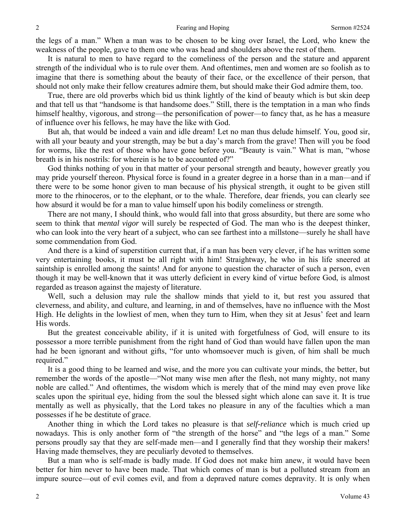the legs of a man." When a man was to be chosen to be king over Israel, the Lord, who knew the weakness of the people, gave to them one who was head and shoulders above the rest of them.

It is natural to men to have regard to the comeliness of the person and the stature and apparent strength of the individual who is to rule over them. And oftentimes, men and women are so foolish as to imagine that there is something about the beauty of their face, or the excellence of their person, that should not only make their fellow creatures admire them, but should make their God admire them, too.

True, there are old proverbs which bid us think lightly of the kind of beauty which is but skin deep and that tell us that "handsome is that handsome does." Still, there is the temptation in a man who finds himself healthy, vigorous, and strong—the personification of power—to fancy that, as he has a measure of influence over his fellows, he may have the like with God.

But ah, that would be indeed a vain and idle dream! Let no man thus delude himself. You, good sir, with all your beauty and your strength, may be but a day's march from the grave! Then will you be food for worms, like the rest of those who have gone before you. "Beauty is vain." What is man, "whose breath is in his nostrils: for wherein is he to be accounted of?"

God thinks nothing of you in that matter of your personal strength and beauty, however greatly you may pride yourself thereon. Physical force is found in a greater degree in a horse than in a man—and if there were to be some honor given to man because of his physical strength, it ought to be given still more to the rhinoceros, or to the elephant, or to the whale. Therefore, dear friends, you can clearly see how absurd it would be for a man to value himself upon his bodily comeliness or strength.

There are not many, I should think, who would fall into that gross absurdity, but there are some who seem to think that *mental vigor* will surely be respected of God. The man who is the deepest thinker, who can look into the very heart of a subject, who can see farthest into a millstone—surely he shall have some commendation from God.

And there is a kind of superstition current that, if a man has been very clever, if he has written some very entertaining books, it must be all right with him! Straightway, he who in his life sneered at saintship is enrolled among the saints! And for anyone to question the character of such a person, even though it may be well-known that it was utterly deficient in every kind of virtue before God, is almost regarded as treason against the majesty of literature.

Well, such a delusion may rule the shallow minds that yield to it, but rest you assured that cleverness, and ability, and culture, and learning, in and of themselves, have no influence with the Most High. He delights in the lowliest of men, when they turn to Him, when they sit at Jesus' feet and learn His words.

But the greatest conceivable ability, if it is united with forgetfulness of God, will ensure to its possessor a more terrible punishment from the right hand of God than would have fallen upon the man had he been ignorant and without gifts, "for unto whomsoever much is given, of him shall be much required."

It is a good thing to be learned and wise, and the more you can cultivate your minds, the better, but remember the words of the apostle—"Not many wise men after the flesh, not many mighty, not many noble are called." And oftentimes, the wisdom which is merely that of the mind may even prove like scales upon the spiritual eye, hiding from the soul the blessed sight which alone can save it. It is true mentally as well as physically, that the Lord takes no pleasure in any of the faculties which a man possesses if he be destitute of grace.

Another thing in which the Lord takes no pleasure is that *self-reliance* which is much cried up nowadays. This is only another form of "the strength of the horse" and "the legs of a man." Some persons proudly say that they are self-made men—and I generally find that they worship their makers! Having made themselves, they are peculiarly devoted to themselves.

But a man who is self-made is badly made. If God does not make him anew, it would have been better for him never to have been made. That which comes of man is but a polluted stream from an impure source—out of evil comes evil, and from a depraved nature comes depravity. It is only when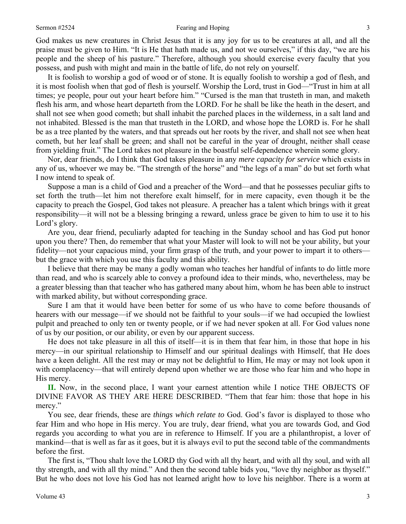#### Sermon #2524 **Sermon #2524 Fearing and Hoping** 3

God makes us new creatures in Christ Jesus that it is any joy for us to be creatures at all, and all the praise must be given to Him. "It is He that hath made us, and not we ourselves," if this day, "we are his people and the sheep of his pasture." Therefore, although you should exercise every faculty that you possess, and push with might and main in the battle of life, do not rely on yourself.

It is foolish to worship a god of wood or of stone. It is equally foolish to worship a god of flesh, and it is most foolish when that god of flesh is yourself. Worship the Lord, trust in God—"Trust in him at all times; ye people, pour out your heart before him." "Cursed is the man that trusteth in man, and maketh flesh his arm, and whose heart departeth from the LORD. For he shall be like the heath in the desert, and shall not see when good cometh; but shall inhabit the parched places in the wilderness, in a salt land and not inhabited. Blessed is the man that trusteth in the LORD, and whose hope the LORD is. For he shall be as a tree planted by the waters, and that spreads out her roots by the river, and shall not see when heat cometh, but her leaf shall be green; and shall not be careful in the year of drought, neither shall cease from yielding fruit." The Lord takes not pleasure in the boastful self-dependence wherein some glory.

Nor, dear friends, do I think that God takes pleasure in any *mere capacity for service* which exists in any of us, whoever we may be. "The strength of the horse" and "the legs of a man" do but set forth what I now intend to speak of.

Suppose a man is a child of God and a preacher of the Word—and that he possesses peculiar gifts to set forth the truth—let him not therefore exalt himself, for in mere capacity, even though it be the capacity to preach the Gospel, God takes not pleasure. A preacher has a talent which brings with it great responsibility—it will not be a blessing bringing a reward, unless grace be given to him to use it to his Lord's glory.

Are you, dear friend, peculiarly adapted for teaching in the Sunday school and has God put honor upon you there? Then, do remember that what your Master will look to will not be your ability, but your fidelity—not your capacious mind, your firm grasp of the truth, and your power to impart it to others but the grace with which you use this faculty and this ability.

I believe that there may be many a godly woman who teaches her handful of infants to do little more than read, and who is scarcely able to convey a profound idea to their minds, who, nevertheless, may be a greater blessing than that teacher who has gathered many about him, whom he has been able to instruct with marked ability, but without corresponding grace.

Sure I am that it would have been better for some of us who have to come before thousands of hearers with our message—if we should not be faithful to your souls—if we had occupied the lowliest pulpit and preached to only ten or twenty people, or if we had never spoken at all. For God values none of us by our position, or our ability, or even by our apparent success.

He does not take pleasure in all this of itself—it is in them that fear him, in those that hope in his mercy—in our spiritual relationship to Himself and our spiritual dealings with Himself, that He does have a keen delight. All the rest may or may not be delightful to Him, He may or may not look upon it with complacency—that will entirely depend upon whether we are those who fear him and who hope in His mercy.

**II.** Now, in the second place, I want your earnest attention while I notice THE OBJECTS OF DIVINE FAVOR AS THEY ARE HERE DESCRIBED. "Them that fear him: those that hope in his mercy."

You see, dear friends, these are *things which relate to* God. God's favor is displayed to those who fear Him and who hope in His mercy. You are truly, dear friend, what you are towards God, and God regards you according to what you are in reference to Himself. If you are a philanthropist, a lover of mankind—that is well as far as it goes, but it is always evil to put the second table of the commandments before the first.

The first is, "Thou shalt love the LORD thy God with all thy heart, and with all thy soul, and with all thy strength, and with all thy mind." And then the second table bids you, "love thy neighbor as thyself." But he who does not love his God has not learned aright how to love his neighbor. There is a worm at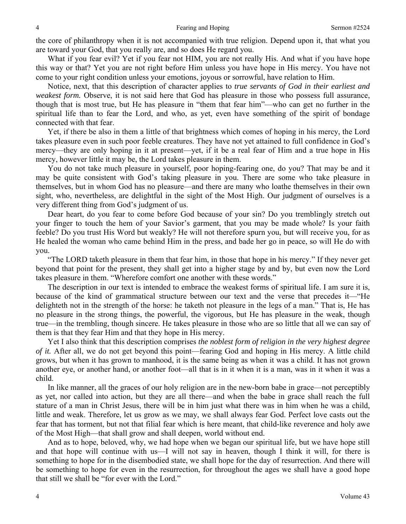the core of philanthropy when it is not accompanied with true religion. Depend upon it, that what you are toward your God, that you really are, and so does He regard you.

What if you fear evil? Yet if you fear not HIM, you are not really His. And what if you have hope this way or that? Yet you are not right before Him unless you have hope in His mercy. You have not come to your right condition unless your emotions, joyous or sorrowful, have relation to Him.

Notice, next, that this description of character applies to *true servants of God in their earliest and weakest form.* Observe, it is not said here that God has pleasure in those who possess full assurance, though that is most true, but He has pleasure in "them that fear him"—who can get no further in the spiritual life than to fear the Lord, and who, as yet, even have something of the spirit of bondage connected with that fear.

Yet, if there be also in them a little of that brightness which comes of hoping in his mercy, the Lord takes pleasure even in such poor feeble creatures. They have not yet attained to full confidence in God's mercy—they are only hoping in it at present—yet, if it be a real fear of Him and a true hope in His mercy, however little it may be, the Lord takes pleasure in them.

You do not take much pleasure in yourself, poor hoping-fearing one, do you? That may be and it may be quite consistent with God's taking pleasure in you. There are some who take pleasure in themselves, but in whom God has no pleasure—and there are many who loathe themselves in their own sight, who, nevertheless, are delightful in the sight of the Most High. Our judgment of ourselves is a very different thing from God's judgment of us.

Dear heart, do you fear to come before God because of your sin? Do you tremblingly stretch out your finger to touch the hem of your Savior's garment, that you may be made whole? Is your faith feeble? Do you trust His Word but weakly? He will not therefore spurn you, but will receive you, for as He healed the woman who came behind Him in the press, and bade her go in peace, so will He do with you.

"The LORD taketh pleasure in them that fear him, in those that hope in his mercy." If they never get beyond that point for the present, they shall get into a higher stage by and by, but even now the Lord takes pleasure in them. "Wherefore comfort one another with these words."

The description in our text is intended to embrace the weakest forms of spiritual life. I am sure it is, because of the kind of grammatical structure between our text and the verse that precedes it—"He delighteth not in the strength of the horse: he taketh not pleasure in the legs of a man." That is, He has no pleasure in the strong things, the powerful, the vigorous, but He has pleasure in the weak, though true—in the trembling, though sincere. He takes pleasure in those who are so little that all we can say of them is that they fear Him and that they hope in His mercy.

Yet I also think that this description comprises *the noblest form of religion in the very highest degree of it.* After all, we do not get beyond this point—fearing God and hoping in His mercy. A little child grows, but when it has grown to manhood, it is the same being as when it was a child. It has not grown another eye, or another hand, or another foot—all that is in it when it is a man, was in it when it was a child.

In like manner, all the graces of our holy religion are in the new-born babe in grace—not perceptibly as yet, nor called into action, but they are all there—and when the babe in grace shall reach the full stature of a man in Christ Jesus, there will be in him just what there was in him when he was a child, little and weak. Therefore, let us grow as we may, we shall always fear God. Perfect love casts out the fear that has torment, but not that filial fear which is here meant, that child-like reverence and holy awe of the Most High—that shall grow and shall deepen, world without end.

And as to hope, beloved, why, we had hope when we began our spiritual life, but we have hope still and that hope will continue with us—I will not say in heaven, though I think it will, for there is something to hope for in the disembodied state, we shall hope for the day of resurrection. And there will be something to hope for even in the resurrection, for throughout the ages we shall have a good hope that still we shall be "for ever with the Lord."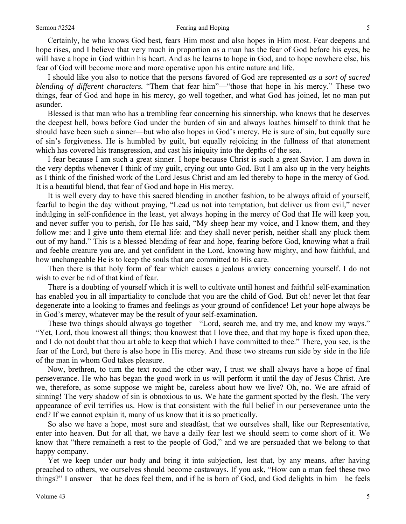Certainly, he who knows God best, fears Him most and also hopes in Him most. Fear deepens and hope rises, and I believe that very much in proportion as a man has the fear of God before his eyes, he will have a hope in God within his heart. And as he learns to hope in God, and to hope nowhere else, his fear of God will become more and more operative upon his entire nature and life.

I should like you also to notice that the persons favored of God are represented *as a sort of sacred blending of different characters.* "Them that fear him"—"those that hope in his mercy." These two things, fear of God and hope in his mercy, go well together, and what God has joined, let no man put asunder.

Blessed is that man who has a trembling fear concerning his sinnership, who knows that he deserves the deepest hell, bows before God under the burden of sin and always loathes himself to think that he should have been such a sinner—but who also hopes in God's mercy. He is sure of sin, but equally sure of sin's forgiveness. He is humbled by guilt, but equally rejoicing in the fullness of that atonement which has covered his transgression, and cast his iniquity into the depths of the sea.

I fear because I am such a great sinner. I hope because Christ is such a great Savior. I am down in the very depths whenever I think of my guilt, crying out unto God. But I am also up in the very heights as I think of the finished work of the Lord Jesus Christ and am led thereby to hope in the mercy of God. It is a beautiful blend, that fear of God and hope in His mercy.

It is well every day to have this sacred blending in another fashion, to be always afraid of yourself, fearful to begin the day without praying, "Lead us not into temptation, but deliver us from evil," never indulging in self-confidence in the least, yet always hoping in the mercy of God that He will keep you, and never suffer you to perish, for He has said, "My sheep hear my voice, and I know them, and they follow me: and I give unto them eternal life: and they shall never perish, neither shall any pluck them out of my hand." This is a blessed blending of fear and hope, fearing before God, knowing what a frail and feeble creature you are, and yet confident in the Lord, knowing how mighty, and how faithful, and how unchangeable He is to keep the souls that are committed to His care.

Then there is that holy form of fear which causes a jealous anxiety concerning yourself. I do not wish to ever be rid of that kind of fear.

There is a doubting of yourself which it is well to cultivate until honest and faithful self-examination has enabled you in all impartiality to conclude that you are the child of God. But oh! never let that fear degenerate into a looking to frames and feelings as your ground of confidence! Let your hope always be in God's mercy, whatever may be the result of your self-examination.

These two things should always go together—"Lord, search me, and try me, and know my ways." "Yet, Lord, thou knowest all things; thou knowest that I love thee, and that my hope is fixed upon thee, and I do not doubt that thou art able to keep that which I have committed to thee." There, you see, is the fear of the Lord, but there is also hope in His mercy. And these two streams run side by side in the life of the man in whom God takes pleasure.

Now, brethren, to turn the text round the other way, I trust we shall always have a hope of final perseverance. He who has began the good work in us will perform it until the day of Jesus Christ. Are we, therefore, as some suppose we might be, careless about how we live? Oh, no. We are afraid of sinning! The very shadow of sin is obnoxious to us. We hate the garment spotted by the flesh. The very appearance of evil terrifies us. How is that consistent with the full belief in our perseverance unto the end? If we cannot explain it, many of us know that it is so practically.

So also we have a hope, most sure and steadfast, that we ourselves shall, like our Representative, enter into heaven. But for all that, we have a daily fear lest we should seem to come short of it. We know that "there remaineth a rest to the people of God," and we are persuaded that we belong to that happy company.

Yet we keep under our body and bring it into subjection, lest that, by any means, after having preached to others, we ourselves should become castaways. If you ask, "How can a man feel these two things?" I answer—that he does feel them, and if he is born of God, and God delights in him—he feels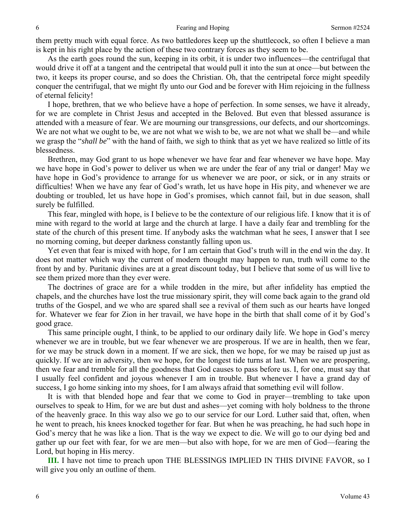them pretty much with equal force. As two battledores keep up the shuttlecock, so often I believe a man is kept in his right place by the action of these two contrary forces as they seem to be.

As the earth goes round the sun, keeping in its orbit, it is under two influences—the centrifugal that would drive it off at a tangent and the centripetal that would pull it into the sun at once—but between the two, it keeps its proper course, and so does the Christian. Oh, that the centripetal force might speedily conquer the centrifugal, that we might fly unto our God and be forever with Him rejoicing in the fullness of eternal felicity!

I hope, brethren, that we who believe have a hope of perfection. In some senses, we have it already, for we are complete in Christ Jesus and accepted in the Beloved. But even that blessed assurance is attended with a measure of fear. We are mourning our transgressions, our defects, and our shortcomings. We are not what we ought to be, we are not what we wish to be, we are not what we shall be—and while we grasp the "*shall be*" with the hand of faith, we sigh to think that as yet we have realized so little of its blessedness.

Brethren, may God grant to us hope whenever we have fear and fear whenever we have hope. May we have hope in God's power to deliver us when we are under the fear of any trial or danger! May we have hope in God's providence to arrange for us whenever we are poor, or sick, or in any straits or difficulties! When we have any fear of God's wrath, let us have hope in His pity, and whenever we are doubting or troubled, let us have hope in God's promises, which cannot fail, but in due season, shall surely be fulfilled.

This fear, mingled with hope, is I believe to be the contexture of our religious life. I know that it is of mine with regard to the world at large and the church at large. I have a daily fear and trembling for the state of the church of this present time. If anybody asks the watchman what he sees, I answer that I see no morning coming, but deeper darkness constantly falling upon us.

Yet even that fear is mixed with hope, for I am certain that God's truth will in the end win the day. It does not matter which way the current of modern thought may happen to run, truth will come to the front by and by. Puritanic divines are at a great discount today, but I believe that some of us will live to see them prized more than they ever were.

The doctrines of grace are for a while trodden in the mire, but after infidelity has emptied the chapels, and the churches have lost the true missionary spirit, they will come back again to the grand old truths of the Gospel, and we who are spared shall see a revival of them such as our hearts have longed for. Whatever we fear for Zion in her travail, we have hope in the birth that shall come of it by God's good grace.

This same principle ought, I think, to be applied to our ordinary daily life. We hope in God's mercy whenever we are in trouble, but we fear whenever we are prosperous. If we are in health, then we fear, for we may be struck down in a moment. If we are sick, then we hope, for we may be raised up just as quickly. If we are in adversity, then we hope, for the longest tide turns at last. When we are prospering, then we fear and tremble for all the goodness that God causes to pass before us. I, for one, must say that I usually feel confident and joyous whenever I am in trouble. But whenever I have a grand day of success, I go home sinking into my shoes, for I am always afraid that something evil will follow.

It is with that blended hope and fear that we come to God in prayer—trembling to take upon ourselves to speak to Him, for we are but dust and ashes—yet coming with holy boldness to the throne of the heavenly grace. In this way also we go to our service for our Lord. Luther said that, often, when he went to preach, his knees knocked together for fear. But when he was preaching, he had such hope in God's mercy that he was like a lion. That is the way we expect to die. We will go to our dying bed and gather up our feet with fear, for we are men—but also with hope, for we are men of God—fearing the Lord, but hoping in His mercy.

**III.** I have not time to preach upon THE BLESSINGS IMPLIED IN THIS DIVINE FAVOR, so I will give you only an outline of them.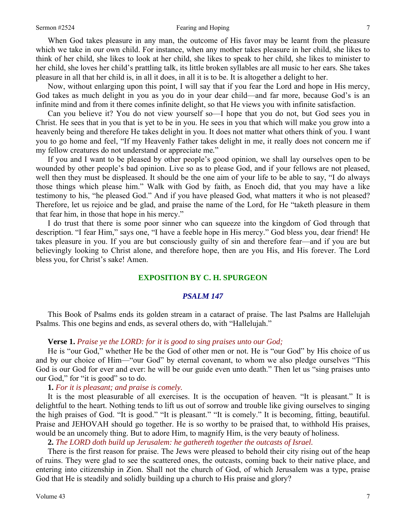#### Sermon #2524 **Fearing and Hoping** 7

When God takes pleasure in any man, the outcome of His favor may be learnt from the pleasure which we take in our own child. For instance, when any mother takes pleasure in her child, she likes to think of her child, she likes to look at her child, she likes to speak to her child, she likes to minister to her child, she loves her child's prattling talk, its little broken syllables are all music to her ears. She takes pleasure in all that her child is, in all it does, in all it is to be. It is altogether a delight to her.

Now, without enlarging upon this point, I will say that if you fear the Lord and hope in His mercy, God takes as much delight in you as you do in your dear child—and far more, because God's is an infinite mind and from it there comes infinite delight, so that He views you with infinite satisfaction.

Can you believe it? You do not view yourself so—I hope that you do not, but God *s*ees you in Christ. He sees that in you that is yet to be in you. He sees in you that which will make you grow into a heavenly being and therefore He takes delight in you. It does not matter what others think of you. I want you to go home and feel, "If my Heavenly Father takes delight in me, it really does not concern me if my fellow creatures do not understand or appreciate me*.*"

If you and I want to be pleased by other people's good opinion, we shall lay ourselves open to be wounded by other people's bad opinion. Live so as to please God, and if your fellows are not pleased, well then they must be displeased. It should be the one aim of your life to be able to say, "I do always those things which please him." Walk with God by faith, as Enoch did, that you may have a like testimony to his, "he pleased God." And if you have pleased God, what matters it who is not pleased? Therefore, let us rejoice and be glad, and praise the name of the Lord, for He "taketh pleasure in them that fear him, in those that hope in his mercy."

I do trust that there is some poor sinner who can squeeze into the kingdom of God through that description. "I fear Him," says one, "I have a feeble hope in His mercy." God bless you, dear friend! He takes pleasure in you. If you are but consciously guilty of sin and therefore fear—and if you are but believingly looking to Christ alone, and therefore hope, then are you His, and His forever. The Lord bless you, for Christ's sake! Amen.

#### **EXPOSITION BY C. H. SPURGEON**

#### *PSALM 147*

This Book of Psalms ends its golden stream in a cataract of praise. The last Psalms are Hallelujah Psalms. This one begins and ends, as several others do, with "Hallelujah."

#### **Verse 1.** *Praise ye the LORD: for it is good to sing praises unto our God;*

He is "our God," whether He be the God of other men or not. He is "our God" by His choice of us and by our choice of Him—"our God" by eternal covenant, to whom we also pledge ourselves "This God is our God for ever and ever: he will be our guide even unto death." Then let us "sing praises unto our God," for "it is good" so to do.

#### **1.** *For it is pleasant; and praise is comely.*

It is the most pleasurable of all exercises. It is the occupation of heaven. "It is pleasant." It is delightful to the heart. Nothing tends to lift us out of sorrow and trouble like giving ourselves to singing the high praises of God. "It is good." "It is pleasant." "It is comely." It is becoming, fitting, beautiful. Praise and JEHOVAH should go together. He is so worthy to be praised that, to withhold His praises, would be an uncomely thing. But to adore Him, to magnify Him, is the very beauty of holiness.

**2.** *The LORD doth build up Jerusalem: he gathereth together the outcasts of Israel.* 

There is the first reason for praise. The Jews were pleased to behold their city rising out of the heap of ruins. They were glad to see the scattered ones, the outcasts, coming back to their native place, and entering into citizenship in Zion. Shall not the church of God, of which Jerusalem was a type, praise God that He is steadily and solidly building up a church to His praise and glory?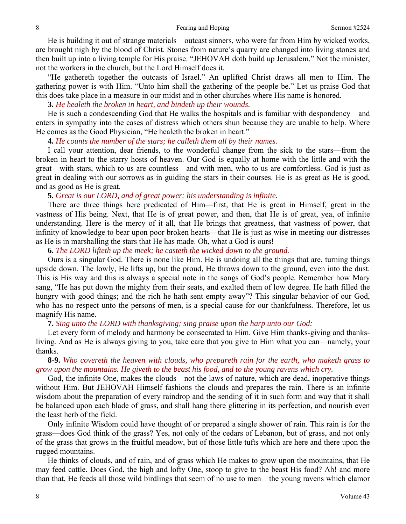He is building it out of strange materials—outcast sinners, who were far from Him by wicked works, are brought nigh by the blood of Christ. Stones from nature's quarry are changed into living stones and then built up into a living temple for His praise. "JEHOVAH doth build up Jerusalem." Not the minister, not the workers in the church, but the Lord Himself does it.

"He gathereth together the outcasts of Israel." An uplifted Christ draws all men to Him. The gathering power is with Him. "Unto him shall the gathering of the people be." Let us praise God that this does take place in a measure in our midst and in other churches where His name is honored.

**3.** *He healeth the broken in heart, and bindeth up their wounds.* 

He is such a condescending God that He walks the hospitals and is familiar with despondency—and enters in sympathy into the cases of distress which others shun because they are unable to help. Where He comes as the Good Physician, "He healeth the broken in heart."

**4.** *He counts the number of the stars; he calleth them all by their names.* 

I call your attention, dear friends, to the wonderful change from the sick to the stars—from the broken in heart to the starry hosts of heaven. Our God is equally at home with the little and with the great—with stars, which to us are countless—and with men, who to us are comfortless. God is just as great in dealing with our sorrows as in guiding the stars in their courses. He is as great as He is good, and as good as He is great.

**5.** *Great is our LORD, and of great power: his understanding is infinite.* 

There are three things here predicated of Him—first, that He is great in Himself, great in the vastness of His being. Next, that He is of great power, and then, that He is of great, yea, of infinite understanding. Here is the mercy of it all, that He brings that greatness, that vastness of power, that infinity of knowledge to bear upon poor broken hearts—that He is just as wise in meeting our distresses as He is in marshalling the stars that He has made. Oh, what a God is ours!

**6.** *The LORD lifteth up the meek; he casteth the wicked down to the ground.* 

Ours is a singular God. There is none like Him. He is undoing all the things that are, turning things upside down. The lowly, He lifts up, but the proud, He throws down to the ground, even into the dust. This is His way and this is always a special note in the songs of God's people. Remember how Mary sang, "He has put down the mighty from their seats, and exalted them of low degree. He hath filled the hungry with good things; and the rich he hath sent empty away"? This singular behavior of our God, who has no respect unto the persons of men, is a special cause for our thankfulness. Therefore, let us magnify His name.

**7.** *Sing unto the LORD with thanksgiving; sing praise upon the harp unto our God:* 

Let every form of melody and harmony be consecrated to Him. Give Him thanks-giving and thanksliving*.* And as He is always giving to you, take care that you give to Him what you can—namely, your thanks.

**8-9.** *Who covereth the heaven with clouds, who prepareth rain for the earth, who maketh grass to grow upon the mountains. He giveth to the beast his food, and to the young ravens which cry.* 

God, the infinite One, makes the clouds—not the laws of nature, which are dead, inoperative things without Him. But JEHOVAH Himself fashions the clouds and prepares the rain. There is an infinite wisdom about the preparation of every raindrop and the sending of it in such form and way that it shall be balanced upon each blade of grass, and shall hang there glittering in its perfection, and nourish even the least herb of the field.

Only infinite Wisdom could have thought of or prepared a single shower of rain. This rain is for the grass—does God think of the grass? Yes, not only of the cedars of Lebanon, but of grass, and not only of the grass that grows in the fruitful meadow, but of those little tufts which are here and there upon the rugged mountains.

He thinks of clouds, and of rain, and of grass which He makes to grow upon the mountains, that He may feed cattle. Does God, the high and lofty One, stoop to give to the beast His food? Ah! and more than that, He feeds all those wild birdlings that seem of no use to men—the young ravens which clamor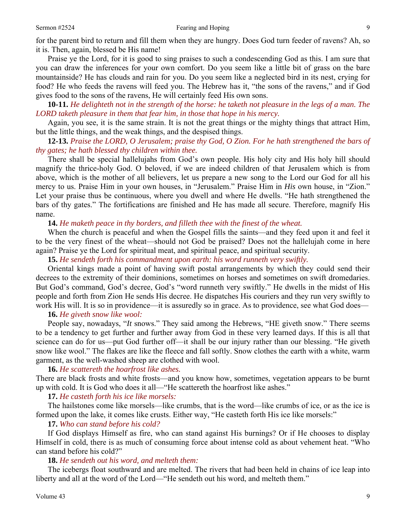Praise ye the Lord, for it is good to sing praises to such a condescending God as this. I am sure that you can draw the inferences for your own comfort. Do you seem like a little bit of grass on the bare mountainside? He has clouds and rain for you. Do you seem like a neglected bird in its nest, crying for food? He who feeds the ravens will feed you. The Hebrew has it, "the sons of the ravens," and if God gives food to the sons of the ravens, He will certainly feed His own sons.

**10-11.** *He delighteth not in the strength of the horse: he taketh not pleasure in the legs of a man. The LORD taketh pleasure in them that fear him, in those that hope in his mercy.* 

Again, you see, it is the same strain. It is not the great things or the mighty things that attract Him, but the little things, and the weak things, and the despised things.

## **12-13.** *Praise the LORD, O Jerusalem; praise thy God, O Zion. For he hath strengthened the bars of thy gates; he hath blessed thy children within thee.*

There shall be special hallelujahs from God's own people. His holy city and His holy hill should magnify the thrice-holy God. O beloved, if we are indeed children of that Jerusalem which is from above, which is the mother of all believers, let us prepare a new song to the Lord our God for all his mercy to us. Praise Him in your own houses, in "Jerusalem." Praise Him in *His* own house, in "Zion." Let your praise thus be continuous, where you dwell and where He dwells. "He hath strengthened the bars of thy gates." The fortifications are finished and He has made all secure. Therefore, magnify His name.

### **14.** *He maketh peace in thy borders, and filleth thee with the finest of the wheat.*

When the church is peaceful and when the Gospel fills the saints—and they feed upon it and feel it to be the very finest of the wheat—should not God be praised? Does not the hallelujah come in here again? Praise ye the Lord for spiritual meat, and spiritual peace, and spiritual security.

**15.** *He sendeth forth his commandment upon earth: his word runneth very swiftly.* 

Oriental kings made a point of having swift postal arrangements by which they could send their decrees to the extremity of their dominions, sometimes on horses and sometimes on swift dromedaries. But God's command, God's decree, God's "word runneth very swiftly." He dwells in the midst of His people and forth from Zion He sends His decree. He dispatches His couriers and they run very swiftly to work His will. It is so in providence—it is assuredly so in grace. As to providence, see what God does—

### **16.** *He giveth snow like wool:*

People say, nowadays, "*It* snows." They said among the Hebrews, "HE giveth snow." There seems to be a tendency to get further and further away from God in these very learned days. If this is all that science can do for us—put God further off—it shall be our injury rather than our blessing. "He giveth snow like wool." The flakes are like the fleece and fall softly. Snow clothes the earth with a white, warm garment, as the well-washed sheep are clothed with wool.

#### **16.** *He scattereth the hoarfrost like ashes.*

There are black frosts and white frosts—and you know how, sometimes, vegetation appears to be burnt up with cold. It is God who does it all—"He scattereth the hoarfrost like ashes."

### **17.** *He casteth forth his ice like morsels:*

The hailstones come like morsels—like crumbs, that is the word—like crumbs of ice, or as the ice is formed upon the lake, it comes like crusts. Either way, "He casteth forth His ice like morsels:"

### **17.** *Who can stand before his cold?*

If God displays Himself as fire, who can stand against His burnings? Or if He chooses to display Himself in cold, there is as much of consuming force about intense cold as about vehement heat. "Who can stand before his cold?"

## **18.** *He sendeth out his word, and melteth them:*

The icebergs float southward and are melted. The rivers that had been held in chains of ice leap into liberty and all at the word of the Lord—"He sendeth out his word, and melteth them."